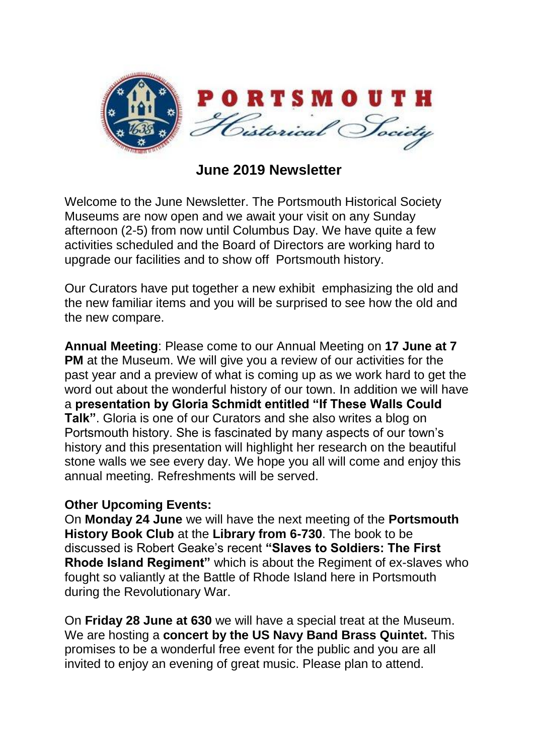

## **June 2019 Newsletter**

Welcome to the June Newsletter. The Portsmouth Historical Society Museums are now open and we await your visit on any Sunday afternoon (2-5) from now until Columbus Day. We have quite a few activities scheduled and the Board of Directors are working hard to upgrade our facilities and to show off Portsmouth history.

Our Curators have put together a new exhibit emphasizing the old and the new familiar items and you will be surprised to see how the old and the new compare.

**Annual Meeting**: Please come to our Annual Meeting on **17 June at 7 PM** at the Museum. We will give you a review of our activities for the past year and a preview of what is coming up as we work hard to get the word out about the wonderful history of our town. In addition we will have a **presentation by Gloria Schmidt entitled "If These Walls Could Talk"**. Gloria is one of our Curators and she also writes a blog on Portsmouth history. She is fascinated by many aspects of our town's history and this presentation will highlight her research on the beautiful stone walls we see every day. We hope you all will come and enjoy this annual meeting. Refreshments will be served.

## **Other Upcoming Events:**

On **Monday 24 June** we will have the next meeting of the **Portsmouth History Book Club** at the **Library from 6-730**. The book to be discussed is Robert Geake's recent **"Slaves to Soldiers: The First Rhode Island Regiment"** which is about the Regiment of ex-slaves who fought so valiantly at the Battle of Rhode Island here in Portsmouth during the Revolutionary War.

On **Friday 28 June at 630** we will have a special treat at the Museum. We are hosting a **concert by the US Navy Band Brass Quintet.** This promises to be a wonderful free event for the public and you are all invited to enjoy an evening of great music. Please plan to attend.